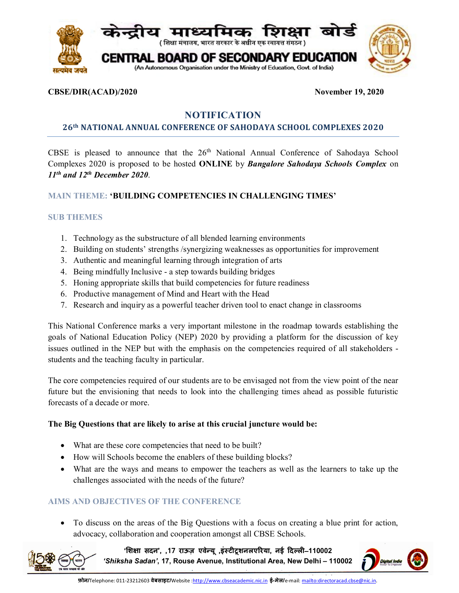

## **CBSE/DIR(ACAD)/2020 November 19, 2020**

# **NOTIFICATION**

## **26th NATIONAL ANNUAL CONFERENCE OF SAHODAYA SCHOOL COMPLEXES 2020**

CBSE is pleased to announce that the  $26<sup>th</sup>$  National Annual Conference of Sahodaya School Complexes 2020 is proposed to be hosted **ONLINE** by *Bangalore Sahodaya Schools Complex* on *11th and 12th December 2020*.

# **MAIN THEME: 'BUILDING COMPETENCIES IN CHALLENGING TIMES'**

## **SUB THEMES**

- 1. Technology as the substructure of all blended learning environments
- 2. Building on students' strengths /synergizing weaknesses as opportunities for improvement
- 3. Authentic and meaningful learning through integration of arts
- 4. Being mindfully Inclusive a step towards building bridges
- 5. Honing appropriate skills that build competencies for future readiness
- 6. Productive management of Mind and Heart with the Head
- 7. Research and inquiry as a powerful teacher driven tool to enact change in classrooms

This National Conference marks a very important milestone in the roadmap towards establishing the goals of National Education Policy (NEP) 2020 by providing a platform for the discussion of key issues outlined in the NEP but with the emphasis on the competencies required of all stakeholders students and the teaching faculty in particular.

The core competencies required of our students are to be envisaged not from the view point of the near future but the envisioning that needs to look into the challenging times ahead as possible futuristic forecasts of a decade or more.

## **The Big Questions that are likely to arise at this crucial juncture would be:**

- What are these core competencies that need to be built?
- How will Schools become the enablers of these building blocks?
- What are the ways and means to empower the teachers as well as the learners to take up the challenges associated with the needs of the future?

## **AIMS AND OBJECTIVES OF THE CONFERENCE**

 To discuss on the areas of the Big Questions with a focus on creating a blue print for action, advocacy, collaboration and cooperation amongst all CBSE Schools.

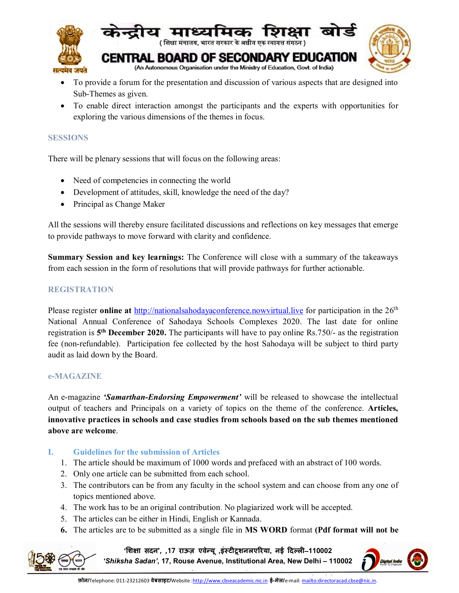

- To provide a forum for the presentation and discussion of various aspects that are designed into Sub-Themes as given.
- To enable direct interaction amongst the participants and the experts with opportunities for exploring the various dimensions of the themes in focus.

## **SESSIONS**

There will be plenary sessions that will focus on the following areas:

- Need of competencies in connecting the world
- Development of attitudes, skill, knowledge the need of the day?
- Principal as Change Maker

All the sessions will thereby ensure facilitated discussions and reflections on key messages that emerge to provide pathways to move forward with clarity and confidence.

**Summary Session and key learnings:** The Conference will close with a summary of the takeaways from each session in the form of resolutions that will provide pathways for further actionable.

## **REGISTRATION**

Please register **online at** <http://nationalsahodayaconference.nowvirtual.live> for participation in the 26th National Annual Conference of Sahodaya Schools Complexes 2020. The last date for online registration is 5<sup>th</sup> December 2020. The participants will have to pay online Rs.750/- as the registration fee (non-refundable). Participation fee collected by the host Sahodaya will be subject to third party audit as laid down by the Board.

## **e-MAGAZINE**

An e-magazine *'Samarthan-Endorsing Empowerment'* will be released to showcase the intellectual output of teachers and Principals on a variety of topics on the theme of the conference. **Articles, innovative practices in schools and case studies from schools based on the sub themes mentioned above are welcome**.

## **I. Guidelines for the submission of Articles**

- 1. The article should be maximum of 1000 words and prefaced with an abstract of 100 words.
- 2. Only one article can be submitted from each school.
- 3. The contributors can be from any faculty in the school system and can choose from any one of topics mentioned above.
- 4. The work has to be an original contribution. No plagiarized work will be accepted.
- 5. The articles can be either in Hindi, English or Kannada.
- **6.** The articles are to be submitted as a single file in **MS WORD** format **(Pdf format will not be**

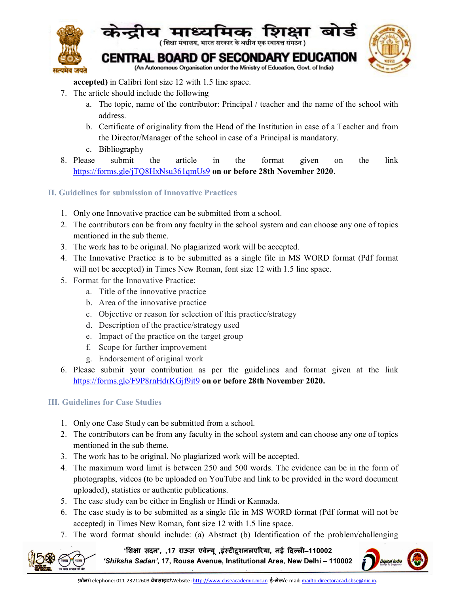

**accepted)** in Calibri font size 12 with 1.5 line space.

- 7. The article should include the following
	- a. The topic, name of the contributor: Principal / teacher and the name of the school with address.
	- b. Certificate of originality from the Head of the Institution in case of a Teacher and from the Director/Manager of the school in case of a Principal is mandatory.
	- c. Bibliography
- 8. Please submit the article in the format given on the link <https://forms.gle/jTQ8HxNsu361qmUs9> **on or before 28th November 2020**.
- **II. Guidelines for submission of Innovative Practices** 
	- 1. Only one Innovative practice can be submitted from a school.
	- 2. The contributors can be from any faculty in the school system and can choose any one of topics mentioned in the sub theme.
	- 3. The work has to be original. No plagiarized work will be accepted.
	- 4. The Innovative Practice is to be submitted as a single file in MS WORD format (Pdf format will not be accepted) in Times New Roman, font size 12 with 1.5 line space.
	- 5. Format for the Innovative Practice:
		- a. Title of the innovative practice
		- b. Area of the innovative practice
		- c. Objective or reason for selection of this practice/strategy
		- d. Description of the practice/strategy used
		- e. Impact of the practice on the target group
		- f. Scope for further improvement
		- g. Endorsement of original work
	- 6. Please submit your contribution as per the guidelines and format given at the link <https://forms.gle/F9P8rnHdrKGjf9it9> **on or before 28th November 2020.**

# **III. Guidelines for Case Studies**

- 1. Only one Case Study can be submitted from a school.
- 2. The contributors can be from any faculty in the school system and can choose any one of topics mentioned in the sub theme.
- 3. The work has to be original. No plagiarized work will be accepted.
- 4. The maximum word limit is between 250 and 500 words. The evidence can be in the form of photographs, videos (to be uploaded on YouTube and link to be provided in the word document uploaded), statistics or authentic publications.
- 5. The case study can be either in English or Hindi or Kannada.
- 6. The case study is to be submitted as a single file in MS WORD format (Pdf format will not be accepted) in Times New Roman, font size 12 with 1.5 line space.
- 7. The word format should include: (a) Abstract (b) Identification of the problem/challenging

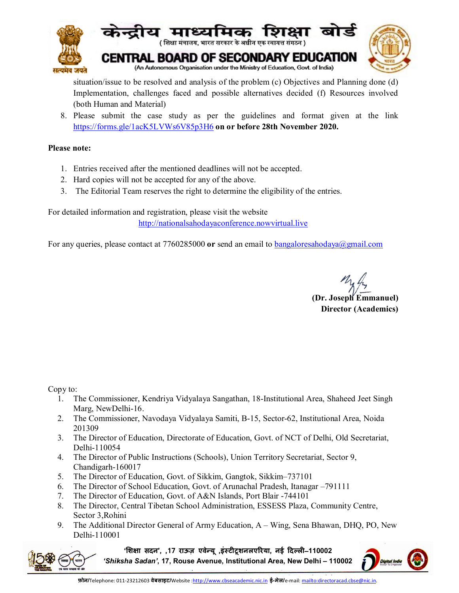

situation/issue to be resolved and analysis of the problem (c) Objectives and Planning done (d) Implementation, challenges faced and possible alternatives decided (f) Resources involved (both Human and Material)

8. Please submit the case study as per the guidelines and format given at the link <https://forms.gle/1acK5LVWs6V85p3H6> **on or before 28th November 2020.**

## **Please note:**

- 1. Entries received after the mentioned deadlines will not be accepted.
- 2. Hard copies will not be accepted for any of the above.
- 3. The Editorial Team reserves the right to determine the eligibility of the entries.

For detailed information and registration, please visit the website <http://nationalsahodayaconference.nowvirtual.live>

For any queries, please contact at 7760285000 **or** send an email to [bangaloresahodaya@gmail.com](mailto:bangaloresahodaya@gmail.com)

**(Dr. Joseph Emmanuel) Director (Academics)**

Copy to:

- 1. The Commissioner, Kendriya Vidyalaya Sangathan, 18-Institutional Area, Shaheed Jeet Singh Marg, NewDelhi-16.
- 2. The Commissioner, Navodaya Vidyalaya Samiti, B-15, Sector-62, Institutional Area, Noida 201309
- 3. The Director of Education, Directorate of Education, Govt. of NCT of Delhi, Old Secretariat, Delhi-110054
- 4. The Director of Public Instructions (Schools), Union Territory Secretariat, Sector 9, Chandigarh-160017
- 5. The Director of Education, Govt. of Sikkim, Gangtok, Sikkim–737101
- 6. The Director of School Education, Govt. of Arunachal Pradesh, Itanagar –791111
- 7. The Director of Education, Govt. of A&N Islands, Port Blair -744101
- 8. The Director, Central Tibetan School Administration, ESSESS Plaza, Community Centre, Sector 3,Rohini
- 9. The Additional Director General of Army Education, A Wing, Sena Bhawan, DHQ, PO, New Delhi-110001